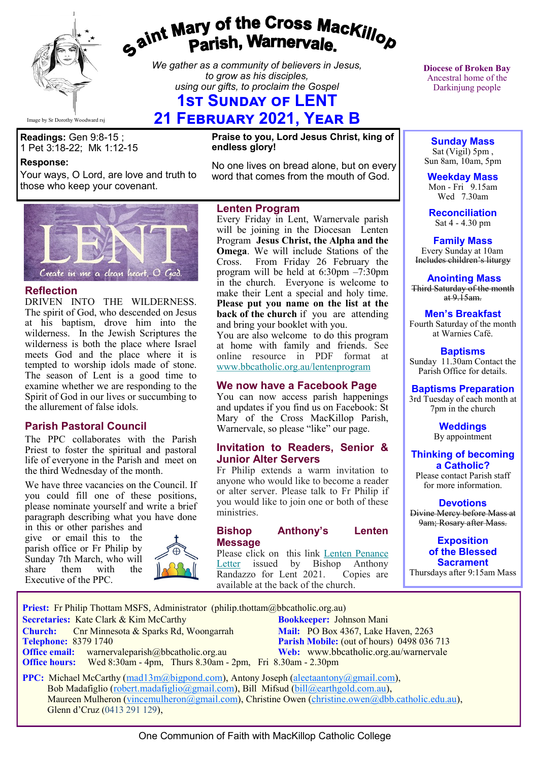

# gaint Mary of the Cross Mackillop<br>Parish, Warnervale.

*We gather as a community of believers in Jesus, to grow as his disciples, using our gifts, to proclaim the Gospel*

# **1ST SUNDAY OF LENT**

# **21 February 2021, Year B**

**Readings:** Gen 9:8-15 ; 1 Pet 3:18-22; Mk 1:12-15

#### **Response:**

Your ways, O Lord, are love and truth to those who keep your covenant.

**Praise to you, Lord Jesus Christ, king of endless glory!**

No one lives on bread alone, but on every word that comes from the mouth of God.

# heart, O God. Create in me a clean

#### **Reflection**

DRIVEN INTO THE WILDERNESS. The spirit of God, who descended on Jesus at his baptism, drove him into the wilderness. In the Jewish Scriptures the wilderness is both the place where Israel meets God and the place where it is tempted to worship idols made of stone. The season of Lent is a good time to examine whether we are responding to the Spirit of God in our lives or succumbing to the allurement of false idols.

#### **Parish Pastoral Council**

The PPC collaborates with the Parish Priest to foster the spiritual and pastoral life of everyone in the Parish and meet on the third Wednesday of the month.

We have three vacancies on the Council. If you could fill one of these positions, please nominate yourself and write a brief paragraph describing what you have done

in this or other parishes and give or email this to the parish office or Fr Philip by Sunday 7th March, who will<br>share them with the them Executive of the PPC.





Every Friday in Lent, Warnervale parish will be joining in the Diocesan Lenten Program **Jesus Christ, the Alpha and the Omega**. We will include Stations of the Cross. From Friday 26 February the program will be held at 6:30pm –7:30pm in the church. Everyone is welcome to make their Lent a special and holy time. **Please put you name on the list at the back of the church** if you are attending and bring your booklet with you.

You are also welcome to do this program at home with family and friends. See online resource in PDF format at [www.bbcatholic.org.au/lentenprogram](https://bbcatholic.us8.list-manage.com/track/click?u=466af249e088db70ab864d088&id=ae739d8062&e=e312df0f80)

#### **We now have a Facebook Page**

You can now access parish happenings and updates if you find us on Facebook: St Mary of the Cross MacKillop Parish, Warnervale, so please "like" our page.

#### **Invitation to Readers, Senior & Junior Alter Servers**

Fr Philip extends a warm invitation to anyone who would like to become a reader or alter server. Please talk to Fr Philip if you would like to join one or both of these ministries.

#### **Bishop Anthony's Lenten Message**

Please click on this link [Lenten Penance](https://bbcatholic.us8.list-manage.com/track/click?u=466af249e088db70ab864d088&id=b6f1136423&e=e312df0f80)  [Letter](https://bbcatholic.us8.list-manage.com/track/click?u=466af249e088db70ab864d088&id=b6f1136423&e=e312df0f80) issued by Bishop Anthony<br>Randazzo for Lent 2021. Copies are Randazzo for Lent 2021. available at the back of the church.

**Diocese of Broken Bay**  Ancestral home of the Darkinjung people

**Sunday Mass** Sat (Vigil) 5pm , Sun 8am, 10am, 5pm

**Weekday Mass** Mon - Fri  $9.15$ am Wed 7.30am

**Reconciliation** Sat 4 - 4.30 pm

**Family Mass**  Every Sunday at 10am Includes children's liturgy

**Anointing Mass** Third Saturday of the month at  $9.15$ am.

#### **Men's Breakfast**

Fourth Saturday of the month at Warnies Café.

**Baptisms** Sunday 11.30am Contact the Parish Office for details.

#### **Baptisms Preparation**

3rd Tuesday of each month at 7pm in the church

> **Weddings**  By appointment

**Thinking of becoming a Catholic?**

Please contact Parish staff for more information.

**Devotions**

Divine Mercy before Mass at 9am; Rosary after Mass.

**Exposition of the Blessed Sacrament** Thursdays after 9:15am Mass

Priest: Fr Philip Thottam MSFS, Administrator (philip.thottam@bbcatholic.org.au)

**Secretaries:** Kate Clark & Kim McCarthy **Bookkeeper:** Johnson Mani

**Church:** Cnr Minnesota & Sparks Rd, Woongarrah **Mail: PO Box 4367, Lake Haven, 2263**<br> **Parish Mobile:** (out of hours) 0498 036 **Office email:** warnervaleparish@bbcatholic.org.au **Web:** [www.bbcatholic.org.au/warnervale](https://www.bbcatholic.org.au/warnervale)

**Parish Mobile:** (out of hours) 0498 036 713  **Office hours:** Wed 8:30am - 4pm, Thurs 8.30am - 2pm, Fri 8.30am - 2.30pm

**PPC:** Michael McCarthy ([mad13m@bigpond.com\),](mailto:mad13m@bigpond.com) Antony Joseph ([aleetaantony@gmail.com\)](mailto:aleetaantony@gmail.com), Bob Madafiglio ([robert.madafiglio@gmail.com\),](mailto:robert.madafiglio@gmail.com) Bill Mifsud ([bill@earthgold.com.au\),](mailto:bill@earthgold.com.au) Maureen Mulheron [\(vincemulheron@gmail.com\),](mailto:vincemulheron@gmail.com) Christine Owen (christine.owe[n@dbb.catholic.edu.au\),](mailto:ann.jackson@dbb.catholic.edu.au) Glenn d'Cruz (0413 291 129),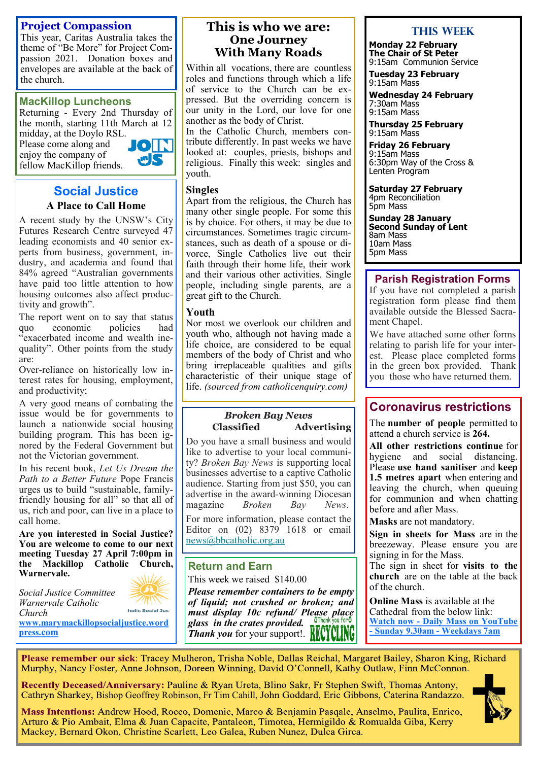#### **Project Compassion**

This year, Caritas Australia takes the theme of "Be More" for Project Compassion 2021. Donation boxes and envelopes are available at the back of the church.

#### **MacKillop Luncheons**

Returning - Every 2nd Thursday of the month, starting 11th March at 12 midday, at the Doylo RSL.

Please come along and enjoy the company of fellow MacKillop friends.



#### **Social Justice A Place to Call Home**

A recent study by the UNSW's City Futures Research Centre surveyed 47 leading economists and 40 senior experts from business, government, industry, and academia and found that 84% agreed "Australian governments have paid too little attention to how housing outcomes also affect productivity and growth".

The report went on to say that status quo economic policies had "exacerbated income and wealth inequality". Other points from the study are:

Over-reliance on historically low interest rates for housing, employment, and productivity;

A very good means of combating the issue would be for governments to launch a nationwide social housing building program. This has been ignored by the Federal Government but not the Victorian government.

In his recent book, *Let Us Dream the Path to a Better Future* Pope Francis urges us to build "sustainable, familyfriendly housing for all" so that all of us, rich and poor, can live in a place to call home.

**Are you interested in Social Justice? You are welcome to come to our next meeting Tuesday 27 April 7:00pm in the Mackillop Catholic Church, Warnervale.** 



holic Social Just *Church*  **[www.marymackillopsocialjustice.word](http://www.marymackillopsocialjustice.wordpress.com) press[.com](http://www.marymackillopsocialjustice.wordpress.com)**

*Social Justice Committee Warnervale Catholic* 

#### **This is who we are: One Journey With Many Roads**

Within all vocations, there are countless roles and functions through which a life of service to the Church can be expressed. But the overriding concern is our unity in the Lord, our love for one another as the body of Christ.

In the Catholic Church, members contribute differently. In past weeks we have looked at: couples, priests, bishops and religious. Finally this week: singles and youth.

#### **Singles**

Apart from the religious, the Church has many other single people. For some this is by choice. For others, it may be due to circumstances. Sometimes tragic circumstances, such as death of a spouse or divorce, Single Catholics live out their faith through their home life, their work and their various other activities. Single people, including single parents, are a great gift to the Church.

#### **Youth**

Nor most we overlook our children and youth who, although not having made a life choice, are considered to be equal members of the body of Christ and who bring irreplaceable qualities and gifts characteristic of their unique stage of life. *(sourced from catholicenquiry.com)*

#### *Broken Bay News*  **Classified Advertising**

Do you have a small business and would like to advertise to your local community? *Broken Bay News* is supporting local businesses advertise to a captive Catholic audience. Starting from just \$50, you can advertise in the award-winning Diocesan magazine *Broken Bay News*.

For more information, please contact the Editor on (02) 8379 1618 or email [news@bbcatholic.org.au](mailto:news@bbcatholic.org.au)

#### **Return and Earn**

This week we raised \$140.00

*Please remember containers to be empty of liquid; not crushed or broken; and must display 10c refund/ Please place glass in the crates provided. Thank you* for your support!. **KEUT ULINU** 

#### **This Week**

**Monday 22 February The Chair of St Peter** 9:15am Communion Service

**Tuesday 23 February** 9:15am Mass

**Wednesday 24 February** 7:30am Mass 9:15am Mass

**Thursday 25 February** 9:15am Mass

**Friday 26 February** 9:15am Mass 6:30pm Way of the Cross & Lenten Program

**Saturday 27 February** 4pm Reconciliation 5pm Mass

**Sunday 28 January Second Sunday of Lent** 8am Mass 10am Mass 5pm Mass

### **Parish Registration Forms**

If you have not completed a parish registration form please find them available outside the Blessed Sacrament Chapel.

We have attached some other forms relating to parish life for your interest. Please place completed forms in the green box provided. Thank you those who have returned them.

## **Coronavirus restrictions**

The **number of people** permitted to attend a church service is **264.**

**All other restrictions continue** for hygiene and social distancing. Please **use hand sanitiser** and **keep 1.5 metres apart** when entering and leaving the church, when queuing for communion and when chatting before and after Mass.

**Masks** are not mandatory.

**Sign in sheets for Mass** are in the breezeway. Please ensure you are signing in for the Mass.

The sign in sheet for **visits to the church** are on the table at the back of the church.

**Online Mass** is available at the Cathedral from the below link: **Watch now - [Daily Mass on YouTube](https://www.youtube.com/channel/UCNenwlfI7i14XB9TsVBrLvQ/)  - [Sunday 9.30am](https://www.youtube.com/channel/UCNenwlfI7i14XB9TsVBrLvQ/) - Weekdays 7am**

Please remember our sick: Tracey Mulheron, Trisha Noble, Dallas Reichal, Margaret Bailey, Sharon King, Richard Murphy, Nancy Foster, Anne Johnson, Doreen Winning, David O'Connell, Kathy Outlaw, Finn McConnon.

Recently Deceased/Anniversary: Pauline & Ryan Ureta, Blino Sakr, Fr Stephen Swift, Thomas Antony, Cathryn Sharkey, Bishop Geoffrey Robinson, Fr Tim Cahill, John Goddard, Eric Gibbons, Caterina Randazzo.



Mass Intentions: Andrew Hood, Rocco, Domenic, Marco & Benjamin Pasgale, Anselmo, Paulita, Enrico, Arturo & Pio Ambait, Elma & Juan Capacite, Pantaleon, Timotea, Hermigildo & Romualda Giba, Kerry Mackey, Bernard Okon, Christine Scarlett, Leo Galea, Ruben Nunez, Dulca Girca.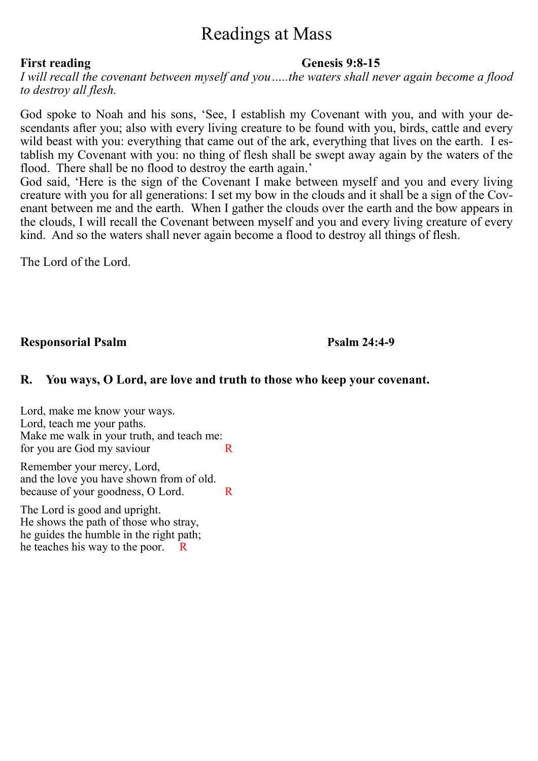# Readings at Mass

#### First reading **Genesis 9:8-15**

*I will recall the covenant between myself and you…..the waters shall never again become a flood to destroy all flesh.*

God spoke to Noah and his sons, 'See, I establish my Covenant with you, and with your descendants after you; also with every living creature to be found with you, birds, cattle and every wild beast with you: everything that came out of the ark, everything that lives on the earth. I establish my Covenant with you: no thing of flesh shall be swept away again by the waters of the flood. There shall be no flood to destroy the earth again.'

God said, 'Here is the sign of the Covenant I make between myself and you and every living creature with you for all generations: I set my bow in the clouds and it shall be a sign of the Covenant between me and the earth. When I gather the clouds over the earth and the bow appears in the clouds, I will recall the Covenant between myself and you and every living creature of every kind. And so the waters shall never again become a flood to destroy all things of flesh.

The Lord of the Lord.

**Responsorial Psalm Psalm 24:4-9**

### **R. You ways, O Lord, are love and truth to those who keep your covenant.**

Lord, make me know your ways. Lord, teach me your paths. Make me walk in your truth, and teach me: for you are God my saviour R

Remember your mercy, Lord, and the love you have shown from of old. because of your goodness, O Lord. R

The Lord is good and upright. He shows the path of those who stray, he guides the humble in the right path; he teaches his way to the poor. R